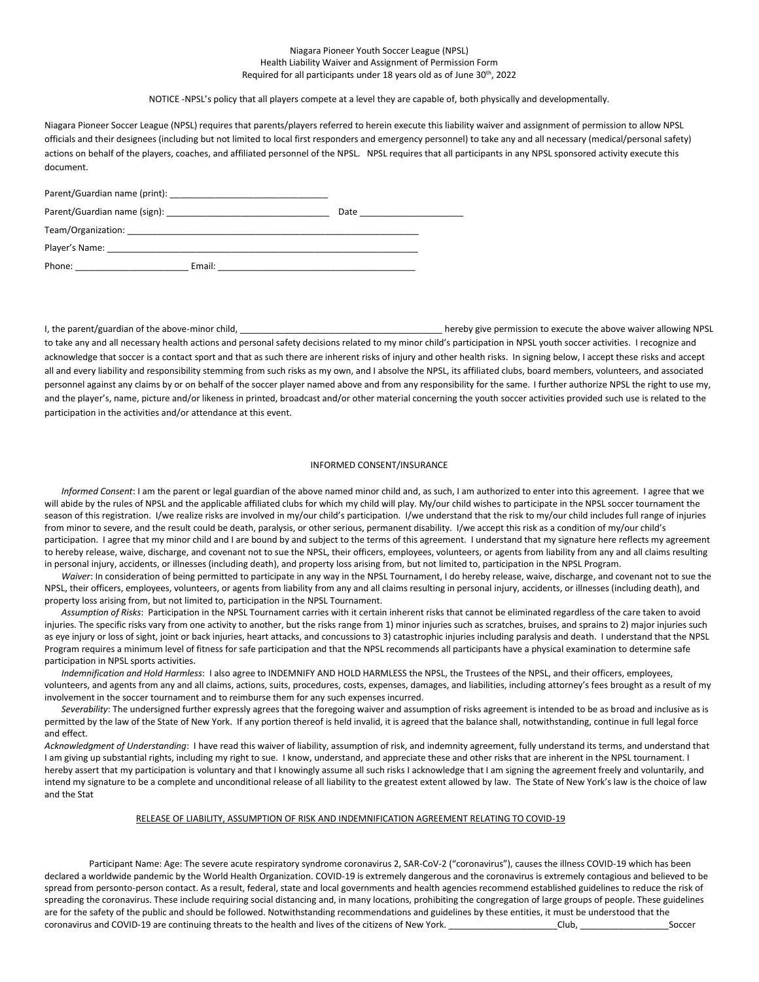## Niagara Pioneer Youth Soccer League (NPSL) Health Liability Waiver and Assignment of Permission Form Required for all participants under 18 years old as of June 30th, 2022

## NOTICE -NPSL's policy that all players compete at a level they are capable of, both physically and developmentally.

Niagara Pioneer Soccer League (NPSL) requires that parents/players referred to herein execute this liability waiver and assignment of permission to allow NPSL officials and their designees (including but not limited to local first responders and emergency personnel) to take any and all necessary (medical/personal safety) actions on behalf of the players, coaches, and affiliated personnel of the NPSL. NPSL requires that all participants in any NPSL sponsored activity execute this document.

| Parent/Guardian name (print): Name (2008) |        |      |
|-------------------------------------------|--------|------|
|                                           |        | Date |
|                                           |        |      |
| Player's Name:                            |        |      |
| Phone:                                    | Email: |      |

I, the parent/guardian of the above-minor child, \_\_\_\_\_\_\_\_\_\_\_\_\_\_\_\_\_\_\_\_\_\_\_\_\_\_\_\_\_\_\_\_\_\_\_\_\_\_\_\_\_ hereby give permission to execute the above waiver allowing NPSL to take any and all necessary health actions and personal safety decisions related to my minor child's participation in NPSL youth soccer activities. I recognize and acknowledge that soccer is a contact sport and that as such there are inherent risks of injury and other health risks. In signing below, I accept these risks and accept all and every liability and responsibility stemming from such risks as my own, and I absolve the NPSL, its affiliated clubs, board members, volunteers, and associated personnel against any claims by or on behalf of the soccer player named above and from any responsibility for the same. I further authorize NPSL the right to use my, and the player's, name, picture and/or likeness in printed, broadcast and/or other material concerning the youth soccer activities provided such use is related to the participation in the activities and/or attendance at this event.

## INFORMED CONSENT/INSURANCE

*Informed Consent*: I am the parent or legal guardian of the above named minor child and, as such, I am authorized to enter into this agreement. I agree that we will abide by the rules of NPSL and the applicable affiliated clubs for which my child will play. My/our child wishes to participate in the NPSL soccer tournament the season of this registration. I/we realize risks are involved in my/our child's participation. I/we understand that the risk to my/our child includes full range of injuries from minor to severe, and the result could be death, paralysis, or other serious, permanent disability. I/we accept this risk as a condition of my/our child's participation. I agree that my minor child and I are bound by and subject to the terms of this agreement. I understand that my signature here reflects my agreement to hereby release, waive, discharge, and covenant not to sue the NPSL, their officers, employees, volunteers, or agents from liability from any and all claims resulting in personal injury, accidents, or illnesses (including death), and property loss arising from, but not limited to, participation in the NPSL Program.

*Waiver*: In consideration of being permitted to participate in any way in the NPSL Tournament, I do hereby release, waive, discharge, and covenant not to sue the NPSL, their officers, employees, volunteers, or agents from liability from any and all claims resulting in personal injury, accidents, or illnesses (including death), and property loss arising from, but not limited to, participation in the NPSL Tournament.

*Assumption of Risks*: Participation in the NPSL Tournament carries with it certain inherent risks that cannot be eliminated regardless of the care taken to avoid injuries. The specific risks vary from one activity to another, but the risks range from 1) minor injuries such as scratches, bruises, and sprains to 2) major injuries such as eye injury or loss of sight, joint or back injuries, heart attacks, and concussions to 3) catastrophic injuries including paralysis and death. I understand that the NPSL Program requires a minimum level of fitness for safe participation and that the NPSL recommends all participants have a physical examination to determine safe participation in NPSL sports activities.

*Indemnification and Hold Harmless*: I also agree to INDEMNIFY AND HOLD HARMLESS the NPSL, the Trustees of the NPSL, and their officers, employees, volunteers, and agents from any and all claims, actions, suits, procedures, costs, expenses, damages, and liabilities, including attorney's fees brought as a result of my involvement in the soccer tournament and to reimburse them for any such expenses incurred.

*Severability*: The undersigned further expressly agrees that the foregoing waiver and assumption of risks agreement is intended to be as broad and inclusive as is permitted by the law of the State of New York. If any portion thereof is held invalid, it is agreed that the balance shall, notwithstanding, continue in full legal force and effect.

*Acknowledgment of Understanding*: I have read this waiver of liability, assumption of risk, and indemnity agreement, fully understand its terms, and understand that I am giving up substantial rights, including my right to sue. I know, understand, and appreciate these and other risks that are inherent in the NPSL tournament. I hereby assert that my participation is voluntary and that I knowingly assume all such risks I acknowledge that I am signing the agreement freely and voluntarily, and intend my signature to be a complete and unconditional release of all liability to the greatest extent allowed by law. The State of New York's law is the choice of law and the Stat

## RELEASE OF LIABILITY, ASSUMPTION OF RISK AND INDEMNIFICATION AGREEMENT RELATING TO COVID-19

Participant Name: Age: The severe acute respiratory syndrome coronavirus 2, SAR-CoV-2 ("coronavirus"), causes the illness COVID-19 which has been declared a worldwide pandemic by the World Health Organization. COVID-19 is extremely dangerous and the coronavirus is extremely contagious and believed to be spread from personto-person contact. As a result, federal, state and local governments and health agencies recommend established guidelines to reduce the risk of spreading the coronavirus. These include requiring social distancing and, in many locations, prohibiting the congregation of large groups of people. These guidelines are for the safety of the public and should be followed. Notwithstanding recommendations and guidelines by these entities, it must be understood that the coronavirus and COVID-19 are continuing threats to the health and lives of the citizens of New York. \_\_\_\_\_\_\_\_\_\_\_\_\_\_\_\_\_\_\_\_\_\_Club, \_\_\_\_\_\_\_\_\_\_\_\_\_\_\_\_\_\_Soccer